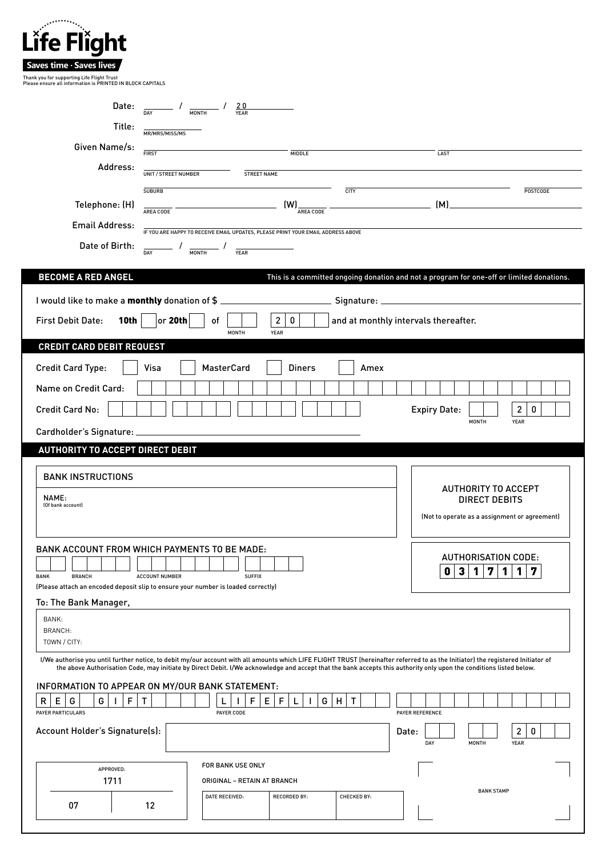| Life Flight                                                                                                                                                                                                                                                                                                                                             |                                                     |                                                                                                                        |                                                      |             |                                      |                                                                                          |  |
|---------------------------------------------------------------------------------------------------------------------------------------------------------------------------------------------------------------------------------------------------------------------------------------------------------------------------------------------------------|-----------------------------------------------------|------------------------------------------------------------------------------------------------------------------------|------------------------------------------------------|-------------|--------------------------------------|------------------------------------------------------------------------------------------|--|
|                                                                                                                                                                                                                                                                                                                                                         |                                                     |                                                                                                                        |                                                      |             |                                      |                                                                                          |  |
| Saves time · Saves lives<br>Thank you for supporting Life Flight Trust                                                                                                                                                                                                                                                                                  |                                                     |                                                                                                                        |                                                      |             |                                      |                                                                                          |  |
| Please ensure all information is PRINTED IN BLOCK CAPITALS                                                                                                                                                                                                                                                                                              |                                                     |                                                                                                                        |                                                      |             |                                      |                                                                                          |  |
|                                                                                                                                                                                                                                                                                                                                                         |                                                     | Date: $\frac{1}{DAY}$ / $\frac{20}{MDNTH}$ / $\frac{20}{YEAR}$                                                         |                                                      |             |                                      |                                                                                          |  |
| Title:                                                                                                                                                                                                                                                                                                                                                  | MR/MRS/MISS/MS                                      |                                                                                                                        |                                                      |             |                                      |                                                                                          |  |
| Given Name/s:                                                                                                                                                                                                                                                                                                                                           | <b>FIRST</b>                                        |                                                                                                                        |                                                      |             |                                      |                                                                                          |  |
| Address:                                                                                                                                                                                                                                                                                                                                                |                                                     |                                                                                                                        | <b>MIDDLE</b>                                        |             | LAST                                 |                                                                                          |  |
|                                                                                                                                                                                                                                                                                                                                                         | UNIT / STREET NUMBER                                | <b>STREET NAME</b>                                                                                                     |                                                      |             |                                      |                                                                                          |  |
| Telephone: (H)                                                                                                                                                                                                                                                                                                                                          | <b>SUBURB</b>                                       |                                                                                                                        |                                                      | <b>CITY</b> | (M)                                  | POSTCODE                                                                                 |  |
| <b>Email Address:</b>                                                                                                                                                                                                                                                                                                                                   | AREA CODE                                           |                                                                                                                        | $\left(\text{W}\right)_{\frac{1}{\text{area code}}}$ |             |                                      |                                                                                          |  |
|                                                                                                                                                                                                                                                                                                                                                         |                                                     | IF YOU ARE HAPPY TO RECEIVE EMAIL UPDATES, PLEASE PRINT YOUR EMAIL ADDRESS ABOVE                                       |                                                      |             |                                      |                                                                                          |  |
| Date of Birth:                                                                                                                                                                                                                                                                                                                                          | $\frac{1}{\text{day}}$ / $\frac{1}{\text{MONTH}}$ / | <b>YEAR</b>                                                                                                            |                                                      |             |                                      |                                                                                          |  |
| <b>BECOME A RED ANGEL</b>                                                                                                                                                                                                                                                                                                                               |                                                     |                                                                                                                        |                                                      |             |                                      | This is a committed ongoing donation and not a program for one-off or limited donations. |  |
|                                                                                                                                                                                                                                                                                                                                                         |                                                     |                                                                                                                        |                                                      |             |                                      |                                                                                          |  |
| I would like to make a monthly donation of \$                                                                                                                                                                                                                                                                                                           |                                                     |                                                                                                                        |                                                      |             |                                      |                                                                                          |  |
| 10th<br><b>First Debit Date:</b>                                                                                                                                                                                                                                                                                                                        | or 20th                                             | οf<br><b>MONTH</b>                                                                                                     | $\mathbf{2}$<br>$\mathbf 0$<br><b>YEAR</b>           |             | and at monthly intervals thereafter. |                                                                                          |  |
| <b>CREDIT CARD DEBIT REQUEST</b>                                                                                                                                                                                                                                                                                                                        |                                                     |                                                                                                                        |                                                      |             |                                      |                                                                                          |  |
| <b>Credit Card Type:</b>                                                                                                                                                                                                                                                                                                                                | Visa                                                | <b>MasterCard</b>                                                                                                      | <b>Diners</b>                                        | Amex        |                                      |                                                                                          |  |
|                                                                                                                                                                                                                                                                                                                                                         |                                                     |                                                                                                                        |                                                      |             |                                      |                                                                                          |  |
| Name on Credit Card:                                                                                                                                                                                                                                                                                                                                    |                                                     |                                                                                                                        |                                                      |             |                                      |                                                                                          |  |
| 2<br><b>Credit Card No:</b><br><b>Expiry Date:</b><br>0<br>MONTH<br><b>YEAR</b>                                                                                                                                                                                                                                                                         |                                                     |                                                                                                                        |                                                      |             |                                      |                                                                                          |  |
| Cardholder's Signature: ____                                                                                                                                                                                                                                                                                                                            |                                                     |                                                                                                                        |                                                      |             |                                      |                                                                                          |  |
| <b>AUTHORITY TO ACCEPT DIRECT DEBIT</b>                                                                                                                                                                                                                                                                                                                 |                                                     |                                                                                                                        |                                                      |             |                                      |                                                                                          |  |
| <b>BANK INSTRUCTIONS</b>                                                                                                                                                                                                                                                                                                                                |                                                     |                                                                                                                        |                                                      |             |                                      |                                                                                          |  |
|                                                                                                                                                                                                                                                                                                                                                         |                                                     |                                                                                                                        |                                                      |             |                                      | <b>AUTHORITY TO ACCEPT</b>                                                               |  |
| NAME:<br>(Of bank account)                                                                                                                                                                                                                                                                                                                              |                                                     |                                                                                                                        |                                                      |             | <b>DIRECT DEBITS</b>                 |                                                                                          |  |
| (Not to operate as a assignment or agreement)                                                                                                                                                                                                                                                                                                           |                                                     |                                                                                                                        |                                                      |             |                                      |                                                                                          |  |
|                                                                                                                                                                                                                                                                                                                                                         |                                                     |                                                                                                                        |                                                      |             |                                      |                                                                                          |  |
| <b>BANK ACCOUNT FROM WHICH PAYMENTS TO BE MADE:</b>                                                                                                                                                                                                                                                                                                     |                                                     |                                                                                                                        |                                                      |             | $\mathbf{3}$<br>0                    | <b>AUTHORISATION CODE:</b>                                                               |  |
| <b>BRANCH</b><br><b>ACCOUNT NUMBER</b><br><b>SUFFIX</b><br><b>BANK</b>                                                                                                                                                                                                                                                                                  |                                                     |                                                                                                                        |                                                      |             |                                      | 7<br>1<br>7<br>1<br>1                                                                    |  |
| (Please attach an encoded deposit slip to ensure your number is loaded correctly)<br>To: The Bank Manager,                                                                                                                                                                                                                                              |                                                     |                                                                                                                        |                                                      |             |                                      |                                                                                          |  |
| BANK:                                                                                                                                                                                                                                                                                                                                                   |                                                     |                                                                                                                        |                                                      |             |                                      |                                                                                          |  |
| BRANCH:                                                                                                                                                                                                                                                                                                                                                 |                                                     |                                                                                                                        |                                                      |             |                                      |                                                                                          |  |
| TOWN / CITY:                                                                                                                                                                                                                                                                                                                                            |                                                     |                                                                                                                        |                                                      |             |                                      |                                                                                          |  |
| I/We authorise you until further notice, to debit my/our account with all amounts which LIFE FLIGHT TRUST (hereinafter referred to as the Initiator) the registered Initiator of<br>the above Authorisation Code, may initiate by Direct Debit. I/We acknowledge and accept that the bank accepts this authority only upon the conditions listed below. |                                                     |                                                                                                                        |                                                      |             |                                      |                                                                                          |  |
| INFORMATION TO APPEAR ON MY/OUR BANK STATEMENT:                                                                                                                                                                                                                                                                                                         |                                                     |                                                                                                                        |                                                      |             |                                      |                                                                                          |  |
| E<br>G<br>F<br>R<br>G<br>$\mathbf{I}$                                                                                                                                                                                                                                                                                                                   | $\mathsf{T}$                                        | F<br>L<br>I.                                                                                                           | E<br>F<br>G<br>L                                     | H<br>T      |                                      |                                                                                          |  |
| PAYER PARTICULARS                                                                                                                                                                                                                                                                                                                                       |                                                     | PAYER CODE                                                                                                             |                                                      |             | PAYER REFERENCE                      |                                                                                          |  |
| Account Holder's Signature(s):                                                                                                                                                                                                                                                                                                                          |                                                     |                                                                                                                        |                                                      |             | Date:<br>DAY                         | 2<br>0<br>MONTH<br><b>YEAR</b>                                                           |  |
|                                                                                                                                                                                                                                                                                                                                                         |                                                     |                                                                                                                        |                                                      |             |                                      |                                                                                          |  |
| APPROVED:                                                                                                                                                                                                                                                                                                                                               |                                                     | FOR BANK USE ONLY                                                                                                      |                                                      |             |                                      |                                                                                          |  |
| 1711                                                                                                                                                                                                                                                                                                                                                    |                                                     | ORIGINAL - RETAIN AT BRANCH<br><b>BANK STAMP</b><br><b>DATE RECEIVED:</b><br><b>RECORDED BY:</b><br><b>CHECKED BY:</b> |                                                      |             |                                      |                                                                                          |  |
| 07                                                                                                                                                                                                                                                                                                                                                      | 12                                                  |                                                                                                                        |                                                      |             |                                      |                                                                                          |  |
|                                                                                                                                                                                                                                                                                                                                                         |                                                     |                                                                                                                        |                                                      |             |                                      |                                                                                          |  |